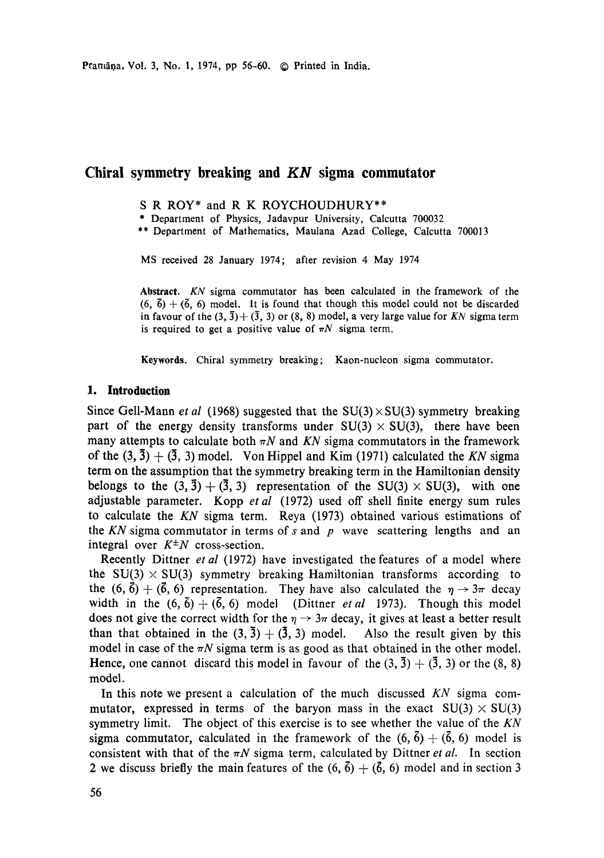# **Chiral symmetry breaking and** *KN* **sigma commutator**

- S R ROY\* and R K ROYCHOUDHURY\*\*
- \* Department of Physics, Jadavpur University, Calcutta 700032
- \*\* Department of Mathematics, Maulana Azad College, Calcutta 700013

MS received 28 January 1974; after revision 4 May 1974

**Abstract.** *KN* sigma commutator has been calculated in the framework of the  $(6, \bar{6}) + (\bar{6}, 6)$  model. It is found that though this model could not be discarded in favour of the  $(3, \bar{3})+(\bar{3}, 3)$  or  $(8, 8)$  model, a very large value for *KN* sigma term is required to get a positive value of  $\pi N$  sigma term.

Keywords. Chiral symmetry breaking; Kaon-nucleon sigma commutator.

### **1. Introduction**

Since Gell-Mann *et al* (1968) suggested that the  $SU(3) \times SU(3)$  symmetry breaking part of the energy density transforms under  $SU(3) \times SU(3)$ , there have been many attempts to calculate both  $\pi N$  and KN sigma commutators in the framework of the  $(3, 3) + (3, 3)$  model. Von Hippel and Kim (1971) calculated the *KN* sigma term on the assumption that the symmetry breaking term in the Hamiltonian density belongs to the  $(3, \bar{3}) + (\bar{3}, 3)$  representation of the SU(3)  $\times$  SU(3), with one adjustable parameter. Kopp *etal* (1972) used off shell finite energy sum rules to calculate the *KN* sigma term. Reya (1973) obtained various estimations of the  $KN$  sigma commutator in terms of s and p wave scattering lengths and an integral over  $K^{\pm}N$  cross-section.

Recently Dittner *et al* (1972) have investigated the features of a model where the  $SU(3) \times SU(3)$  symmetry breaking Hamiltonian transforms according to the  $(6, \vec{6}) + (6, 6)$  representation. They have also calculated the  $\eta \rightarrow 3\pi$  decay width in the  $(6, \bar{6}) + (\bar{6}, 6)$  model (Dittner *et al* 1973). Though this model does not give the correct width for the  $\eta \rightarrow 3\pi$  decay, it gives at least a better result than that obtained in the  $(3, \bar{3})+(\bar{3}, 3)$  model. Also the result given by this model in case of the  $\pi N$  sigma term is as good as that obtained in the other model. Hence, one cannot discard this model in favour of the  $(3, \bar{3}) + (\bar{3}, 3)$  or the  $(8, 8)$ model.

In this note we present a calculation of the much discussed *KN* sigma commutator, expressed in terms of the baryon mass in the exact  $SU(3) \times SU(3)$ symmetry limit. The object of this exercise is to see whether the value of the *KN*  sigma commutator, calculated in the framework of the  $(6, 6) + (\bar{6}, 6)$  model is consistent with that of the  $\pi N$  sigma term, calculated by Dittner *et al.* In section 2 we discuss briefly the main features of the  $(6, \bar{6}) + (6, 6)$  model and in section 3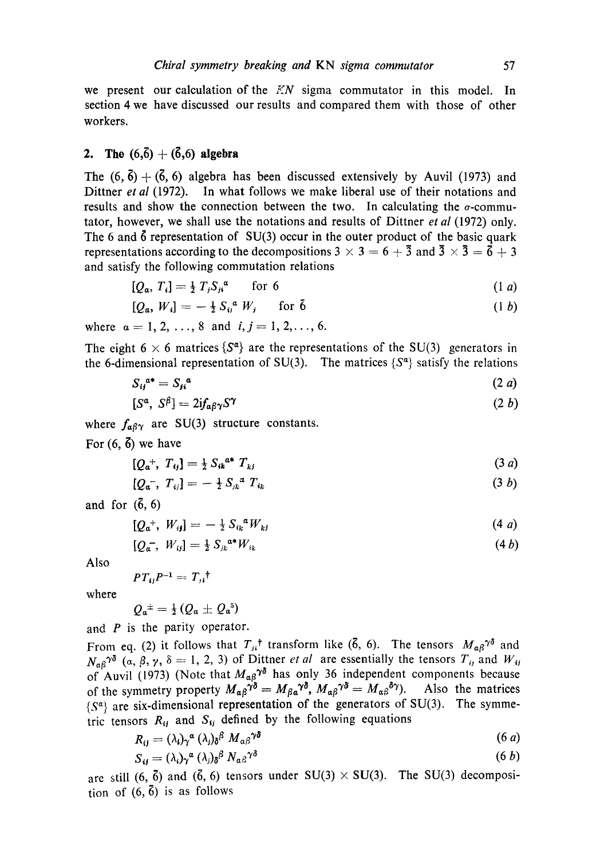we present our calculation of the  $KN$  sigma commutator in this model. In section 4 we have discussed our results and compared them with those of other workers.

# **2.** The  $(6,\bar{6}) + (\bar{6},6)$  algebra

The  $(6, \bar{6}) + (\bar{6}, 6)$  algebra has been discussed extensively by Auvil (1973) and Dittner *et al* (1972). In what follows we make liberal use of their notations and results and show the connection between the two. In calculating the  $\sigma$ -commutator, however, we shall use the notations and results of Dittner *et al* (1972) only. The 6 and  $\ddot{\text{o}}$  representation of SU(3) occur in the outer product of the basic quark representations according to the decompositions 3  $\times$  3 = 6 + 3 and 3  $\times$  3 = 6 + 3 and satisfy the following commutation relations

$$
[Q_a, T_i] = \frac{1}{2} T_j S_{ji}^a \qquad \text{for } 6
$$
 (1 a)

$$
[Q_a, W_i] = -\frac{1}{2} S_{ij}^a W_j \quad \text{for } \tilde{b} \tag{1 b}
$$

where  $a = 1, 2, ..., 8$  and  $i, j = 1, 2, ..., 6$ .

The eight 6  $\times$  6 matrices { $S^{\alpha}$ } are the representations of the SU(3) generators in the 6-dimensional representation of SU(3). The matrices  $\{S^{\alpha}\}\$  satisfy the relations

$$
S_{ij}^{a*} = S_{ji}^{a} \tag{2 a}
$$

$$
[S^{\alpha}, S^{\beta}] = 2if_{\alpha\beta\gamma}S^{\gamma}
$$
 (2 *b*)

where  $f_{\alpha\beta\gamma}$  are SU(3) structure constants.

For  $(6, \vec{6})$  we have

$$
[Q_a^+, T_{ij}] = \frac{1}{2} S_{ik}^{a*} T_{kj}
$$
 (3 a)

$$
[Q_{a^-}, T_{ij}] = -\frac{1}{2} S_{jk}^{a} T_{ik} \tag{3 b}
$$

and for  $(\bar{6}, 6)$ 

$$
[Q_a^+, W_{ij}] = -\frac{1}{2} S_{ik}{}^a W_{kj} \tag{4a}
$$

$$
[Q_{a^-}, W_{ij}] = \frac{1}{2} S_{jk}^{a*} W_{ik}
$$
 (4*b*)

Also

$$
PT_{ij}P^{-1}=T_{ji}^{\dagger}
$$

where

$$
Q_a{}^{\pm} = \frac{1}{2} \left( Q_a \pm Q_a{}^5 \right)
$$

and  $P$  is the parity operator.

From eq. (2) it follows that  $T_{ji}$ <sup>†</sup> transform like (6, 6). The tensors  $M_{\alpha\beta}$ <sup> $\gamma\delta$ </sup> and  $N_{\alpha}g^{\gamma\delta}$  (a,  $\beta$ ,  $\gamma$ ,  $\delta = 1, 2, 3$ ) of Dittner *et al* are essentially the tensors  $T_{ij}$  and  $W_{ij}$ of Auvil (1973) (Note that  $M_{\alpha\beta}^{\gamma\alpha}$  has only 36 independent components because of the symmetry property  $M_{\alpha\beta}^{\gamma\delta} = M_{\beta\alpha}^{\gamma\delta}$ ,  $M_{\alpha\beta}^{\gamma\delta} = M_{\alpha\beta}^{\gamma\delta}$ . Also the matrices  ${S^{\alpha}}$  are six-dimensional representation of the generators of SU(3). The symmetric tensors  $R_{ij}$  and  $S_{ij}$  defined by the following equations

$$
R_{ij} = (\lambda_i)_\gamma{}^a (\lambda_j)_\delta{}^\beta M_{\alpha\beta}{}^{\gamma\delta} \tag{6 a}
$$

$$
S_{ij} = (\lambda_i) \gamma^a (\lambda_j) \delta^\beta N_{\alpha \beta} \gamma^{\delta} \tag{6 b}
$$

are still  $(6, \bar{6})$  and  $(\bar{6}, 6)$  tensors under SU(3)  $\times$  SU(3). The SU(3) decomposition of  $(6, \bar{6})$  is as follows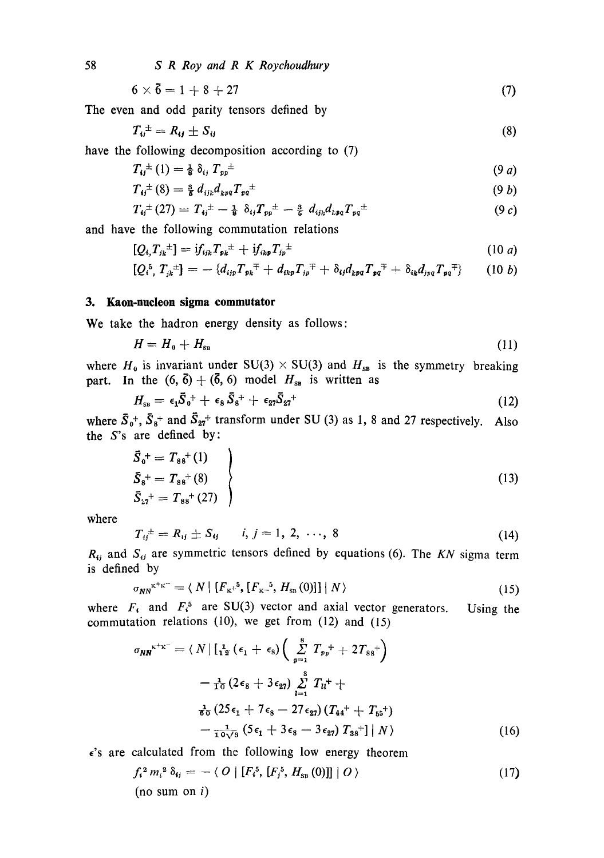$$
6 \times 6 = 1 + 8 + 27 \tag{7}
$$

The even and odd parity tensors defined by

$$
T_{ij}^{\pm} = R_{ij} \pm S_{ij} \tag{8}
$$

have the following decomposition according to (7)

$$
T_{ij}^{\pm}(1) = \frac{1}{8} \, \delta_{ij} \; T_{pp}^{\pm} \tag{9 \, d}
$$

$$
T_{ij}^{\pm}(8) = \frac{3}{8} d_{ijk} d_{kpq} T_{pq}^{\pm}
$$
 (9 b)

$$
T_{ij}^{\pm}(27)=T_{ij}^{\pm}-\tfrac{1}{8}\delta_{ij}T_{pp}^{\pm}-\tfrac{3}{8}\,d_{ijk}d_{kpq}T_{pq}^{\pm}\qquad \qquad (9\,c)
$$

and have the following commutation relations

$$
[Q_{i},T_{j_k}^{\perp}] = if_{ijk}T_{p_k}^{\perp} + if_{ikp}T_{jp}^{\perp}
$$
 (10 a)

$$
[Q_i^5, T_{jk}^{\pm}] = -\{d_{ijp}T_{p k}^{\mp} + d_{ikp}T_{jp}^{\mp} + \delta_{ij}d_{kpq}T_{pq}^{\mp} + \delta_{ik}d_{jpq}T_{pq}^{\mp}\}\qquad (10\;b)
$$

### 3. Kaon-nucleon sigma commutator

We take the hadron energy density as follows:

$$
H = H_{\rm o} + H_{\rm SB} \tag{11}
$$

where  $H_0$  is invariant under SU(3) × SU(3) and  $H_{\text{ss}}$  is the symmetry breaking part. In the  $(6, 6) + (6, 6)$  model  $H_{\text{ss}}$  is written as

$$
H_{\rm ss} = \epsilon_1 \bar{S}_0^+ + \epsilon_8 \bar{S}_8^+ + \epsilon_{27} \bar{S}_{27}^+
$$
\n(12)

where  $\bar{S}_0^+$ ,  $\bar{S}_8^+$  and  $\bar{S}_{27}^+$  transform under SU (3) as 1, 8 and 27 respectively. Also the S's are defined by:

$$
\begin{aligned}\n\bar{S}_0^+ &= T_{88}^+(1) \\
\bar{S}_8^+ &= T_{88}^+(8) \\
\bar{S}_{27}^+ &= T_{88}^+(27)\n\end{aligned}
$$
\n(13)

where

$$
T_{ij}^{\pm} = R_{ij} \pm S_{ij} \qquad i, j = 1, 2, \ldots, 8 \tag{14}
$$

 $R_{ij}$  and  $S_{ij}$  are symmetric tensors defined by equations (6). The  $KN$  sigma term is defined by

$$
\sigma_{NN}^{\kappa^{+}\kappa^{-}} = \langle N \mid [F_{\kappa^{+}}^{5}, [F_{\kappa^{-}}^{5}, H_{\rm sn}(0)]] \mid N \rangle \tag{15}
$$

where  $F_i$  and  $F_i^5$  are SU(3) vector and axial vector generators. Using the commutation relations  $(10)$ , we get from  $(12)$  and  $(15)$ 

$$
\sigma_{NN}^{\kappa^{+}\kappa^{-}} = \langle N | [\frac{1}{12} (\epsilon_1 + \epsilon_8) (\sum_{p=1}^{8} T_{p_p} + 2T_{88}^+ )
$$
  

$$
- \frac{1}{12} (2\epsilon_8 + 3\epsilon_{27}) \sum_{l=1}^{8} T_{ll}^+ +
$$
  

$$
\frac{1}{60} (25\epsilon_1 + 7\epsilon_8 - 27\epsilon_{27}) (T_{44}^+ + T_{55}^+) - \frac{1}{10\sqrt{3}} (5\epsilon_1 + 3\epsilon_8 - 3\epsilon_{27}) T_{88}^+ | N \rangle
$$
 (16)

 $\epsilon$ 's are calculated from the following low energy theorem

$$
f_i^2 m_i^2 \delta_{ij} = - \langle O | [F_i^5, [F_j^5, H_{\rm SB}(0)]] | O \rangle
$$
  
(no sum on *i*) (17)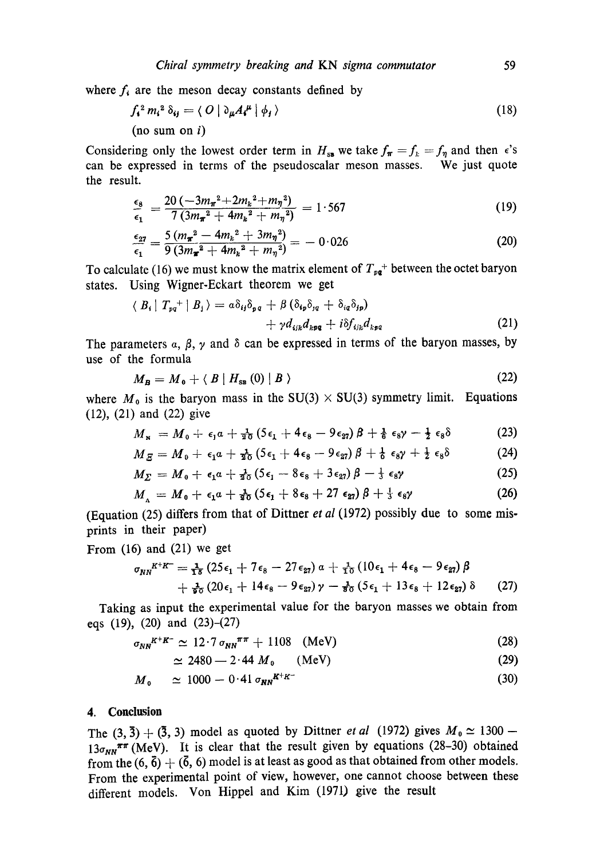where  $f_i$  are the meson decay constants defined by

$$
f_{\mathbf{t}}^2 m_{\mathbf{t}}^2 \delta_{\mathbf{t} \mathbf{j}} = \langle O \mid \partial_{\mu} A_{\mathbf{t}}^{\mu} \mid \phi_{\mathbf{t}} \rangle \tag{18}
$$
  
(no sum on *i*)

Considering only the lowest order term in  $H_{ss}$  we take  $f_{\pi} = f_{k} = f_{\eta}$  and then  $\epsilon$ 's can be expressed in terms of the pseudoscalar meson masses. We just quote the result.

$$
\frac{\epsilon_8}{\epsilon_1} = \frac{20 \left(-3 m_{\pi}^2 + 2 m_k^2 + m_{\eta}^2\right)}{7 \left(3 m_{\pi}^2 + 4 m_k^2 + m_{\eta}^2\right)} = 1.567\tag{19}
$$

$$
\frac{\epsilon_{27}}{\epsilon_1} = \frac{5(m_{\pi}^2 - 4m_k^2 + 3m_{\eta}^2)}{9(3m_{\pi}^2 + 4m_k^2 + m_{\eta}^2)} = -0.026
$$
 (20)

To calculate (16) we must know the matrix element of  $T_{pq}$ <sup>+</sup> between the octet baryon states. Using Wigner-Eckart theorem we get

$$
\langle B_i | T_{pq}^+ | B_j \rangle = a \delta_{ij} \delta_{pq} + \beta (\delta_{ip} \delta_{jq} + \delta_{iq} \delta_{jp}) + \gamma d_{ijk} d_{kpq} + i \delta f_{ijk} d_{kpq}
$$
 (21)

The parameters  $\alpha$ ,  $\beta$ ,  $\gamma$  and  $\delta$  can be expressed in terms of the baryon masses, by use of the formula

$$
M_B = M_0 + \langle B \mid H_{\rm SB}(0) \mid B \rangle \tag{22}
$$

where  $M_0$  is the baryon mass in the SU(3) × SU(3) symmetry limit. Equations (12), (21) and (22) give

$$
M_{\rm x} = M_0 + \epsilon_1 a + \frac{1}{20} \left( 5 \epsilon_1 + 4 \epsilon_8 - 9 \epsilon_{27} \right) \beta + \frac{1}{6} \epsilon_8 \gamma - \frac{1}{2} \epsilon_8 \delta \tag{23}
$$

$$
M_{\mathcal{S}} = M_0 + \epsilon_1 a + \tfrac{1}{20} \left( 5\epsilon_1 + 4\epsilon_8 - 9\epsilon_{27} \right) \beta + \tfrac{1}{6} \epsilon_8 \gamma + \tfrac{1}{2} \epsilon_8 \delta \tag{24}
$$

$$
M_{\Sigma} = M_0 + \epsilon_1 a + \frac{1}{20} (5 \epsilon_1 - 8 \epsilon_8 + 3 \epsilon_{27}) \beta - \frac{1}{3} \epsilon_8 \gamma \tag{25}
$$

$$
M_{\Lambda} = M_0 + \epsilon_1 a + \frac{1}{20} \left( 5 \epsilon_1 + 8 \epsilon_8 + 27 \epsilon_{27} \right) \beta + \frac{1}{3} \epsilon_8 \gamma \tag{26}
$$

(Equation (25) differs from that of Dittner *et al* (1972) possibly due to some misprints in their paper)

From (16) and (21) we get

$$
\sigma_{NN}^{K^+K^-} = \frac{1}{1\delta} \left( 25\epsilon_1 + 7\epsilon_8 - 27\epsilon_{27} \right) \alpha + \frac{1}{10} \left( 10\epsilon_1 + 4\epsilon_8 - 9\epsilon_{27} \right) \beta + \frac{1}{20} \left( 20\epsilon_1 + 14\epsilon_8 - 9\epsilon_{27} \right) \gamma - \frac{1}{20} \left( 5\epsilon_1 + 13\epsilon_8 + 12\epsilon_{27} \right) \delta \tag{27}
$$

Taking as input the experimental value for the baryon masses we obtain from eqs (19), (20) and (23)-(27)

$$
\sigma_{NN}^{K^+K^-} \simeq 12.7 \sigma_{NN}^{\pi\pi} + 1108 \quad (\text{MeV}) \tag{28}
$$

$$
\simeq 2480 - 2.44 M_0 \qquad (\text{MeV}) \tag{29}
$$

$$
M_0 \simeq 1000 - 0.41 \sigma_{NN}^{K^+K^-} \tag{30}
$$

#### **4. Conclusion**

The  $(3, \bar{3}) + (\bar{3}, 3)$  model as quoted by Dittner *et al* (1972) gives  $M_0 \simeq 1300$  - $13\sigma_{NN}^{\pi\pi}$  (MeV). It is clear that the result given by equations (28-30) obtained from the  $(6, 6) + (6, 6)$  model is at least as good as that obtained from other models. From the experimental point of view, however, one cannot choose between these different models. Von Hippel and Kim (1971) give the result